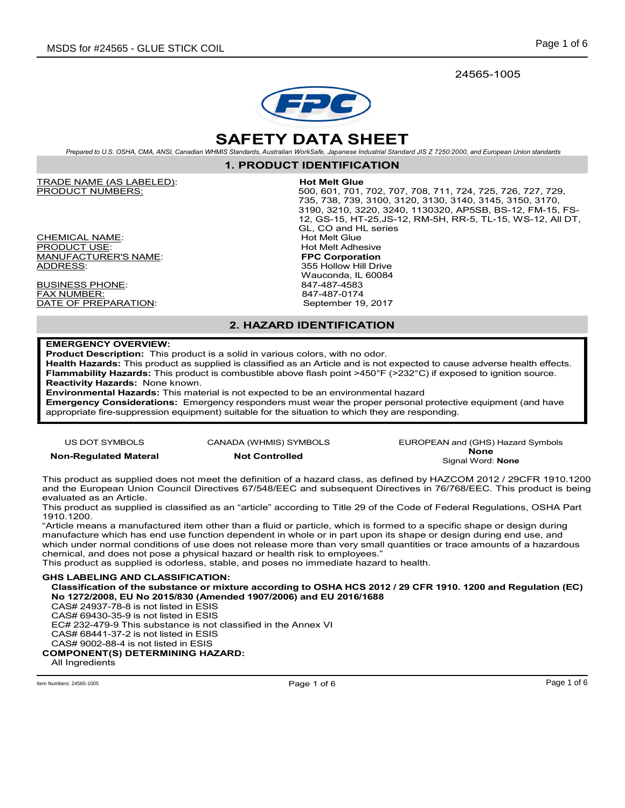24565-1005



# SAFETY DATA SHEET

Prepared to U.S. OSHA, CMA, ANSI, Canadian WHMIS Standards, Australian WorkSafe, Japanese Industrial Standard JIS Z 7250:2000, and European Union standards

1. PRODUCT IDENTIFICATION

TRADE NAME (AS LABELED): Hot Melt Glue

<u>CHEMICAL NAME</u>:<br><u>PRODUCT USE</u>: MANUFACTURER'S NAME: ADDRESS: 355 Hollow Hill Drive

BUSINESS PHONE: 847-487-4583 FAX NUMBER: 847-487-0174 DATE OF PREPARATION:

500, 601, 701, 702, 707, 708, 711, 724, 725, 726, 727, 729, 735, 738, 739, 3100, 3120, 3130, 3140, 3145, 3150, 3170, 3190, 3210, 3220, 3240, 1130320, AP5SB, BS-12, FM-15, FS-12, GS-15, HT-25,JS-12, RM-5H, RR-5, TL-15, WS-12, All DT, GL, CO and HL series<br>Hot Melt Glue Hot Melt Adhesive<br>FPC Corporation

Wauconda, IL 60084

## 2. HAZARD IDENTIFICATION

### EMERGENCY OVERVIEW:

Product Description: This product is a solid in various colors, with no odor.

Health Hazards: This product as supplied is classified as an Article and is not expected to cause adverse health effects. Flammability Hazards: This product is combustible above flash point >450°F (>232°C) if exposed to ignition source. Reactivity Hazards: None known.

Environmental Hazards: This material is not expected to be an environmental hazard

Emergency Considerations: Emergency responders must wear the proper personal protective equipment (and have appropriate fire-suppression equipment) suitable for the situation to which they are responding.

US DOT SYMBOLS CANADA (WHMIS) SYMBOLS EUROPEAN and (GHS) Hazard Symbols Non-Regulated Materal Not Controlled None None Signal Word: None

This product as supplied does not meet the definition of a hazard class, as defined by HAZCOM 2012 / 29CFR 1910.1200 and the European Union Council Directives 67/548/EEC and subsequent Directives in 76/768/EEC. This product is being evaluated as an Article.

This product as supplied is classified as an "article" according to Title 29 of the Code of Federal Regulations, OSHA Part 1910.1200.

"Article means a manufactured item other than a fluid or particle, which is formed to a specific shape or design during manufacture which has end use function dependent in whole or in part upon its shape or design during end use, and which under normal conditions of use does not release more than very small quantities or trace amounts of a hazardous chemical, and does not pose a physical hazard or health risk to employees."

This product as supplied is odorless, stable, and poses no immediate hazard to health.

### GHS LABELING AND CLASSIFICATION:

Classification of the substance or mixture according to OSHA HCS 2012 / 29 CFR 1910. 1200 and Regulation (EC) No 1272/2008, EU No 2015/830 (Amended 1907/2006) and EU 2016/1688

CAS# 24937-78-8 is not listed in ESIS

CAS# 69430-35-9 is not listed in ESIS

EC# 232-479-9 This substance is not classified in the Annex VI CAS# 68441-37-2 is not listed in ESIS CAS# 9002-88-4 is not listed in ESIS

### COMPONENT(S) DETERMINING HAZARD:

All Ingredients

Item Numbers: 24565-1005 Page 1 of 6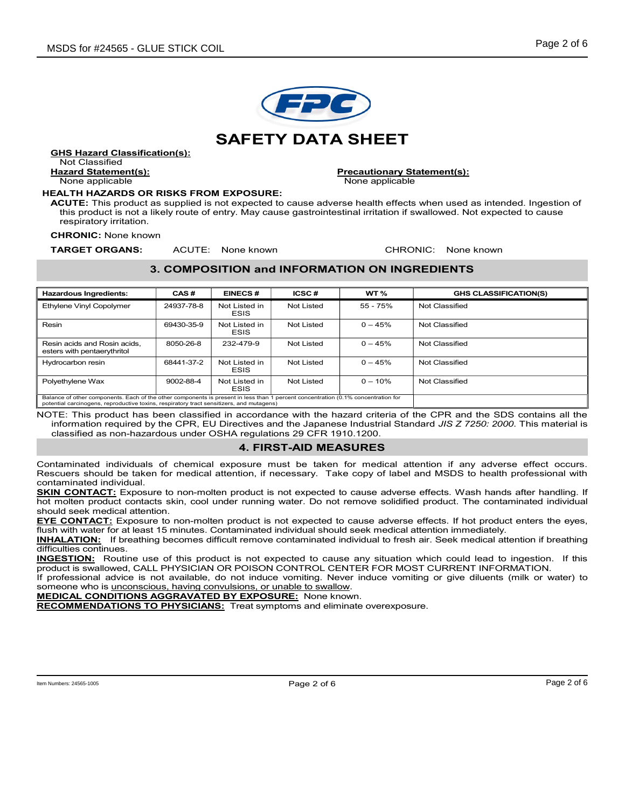

GHS Hazard Classification(s): Not Classified

None applicable and the None applicable None applicable

#### HEALTH HAZARDS OR RISKS FROM EXPOSURE:

Hazard Statement(s): Precautionary Statement(s):

ACUTE: This product as supplied is not expected to cause adverse health effects when used as intended. Ingestion of this product is not a likely route of entry. May cause gastrointestinal irritation if swallowed. Not expected to cause respiratory irritation.

CHRONIC: None known

**TARGET ORGANS:** ACUTE: None known **CHRONIC: None known** 

## 3. COMPOSITION and INFORMATION ON INGREDIENTS

| <b>Hazardous Ingredients:</b>                                                                                                                                                                                                 | CAS#       | <b>EINECS#</b>               | ICSC#      | WT <sub>%</sub> | <b>GHS CLASSIFICATION(S)</b> |
|-------------------------------------------------------------------------------------------------------------------------------------------------------------------------------------------------------------------------------|------------|------------------------------|------------|-----------------|------------------------------|
| Ethylene Vinyl Copolymer                                                                                                                                                                                                      | 24937-78-8 | Not Listed in<br><b>ESIS</b> | Not Listed | $55 - 75%$      | Not Classified               |
| Resin                                                                                                                                                                                                                         | 69430-35-9 | Not Listed in<br><b>ESIS</b> | Not Listed | $0 - 45%$       | Not Classified               |
| Resin acids and Rosin acids.<br>esters with pentaerythritol                                                                                                                                                                   | 8050-26-8  | 232-479-9                    | Not Listed | $0 - 45%$       | Not Classified               |
| Hydrocarbon resin                                                                                                                                                                                                             | 68441-37-2 | Not Listed in<br><b>ESIS</b> | Not Listed | $0 - 45%$       | Not Classified               |
| Polyethylene Wax                                                                                                                                                                                                              | 9002-88-4  | Not Listed in<br><b>ESIS</b> | Not Listed | $0 - 10\%$      | Not Classified               |
| Balance of other components. Each of the other components is present in less than 1 percent concentration (0.1% concentration for<br>potential carcinogens, reproductive toxins, respiratory tract sensitizers, and mutagens) |            |                              |            |                 |                              |

NOTE: This product has been classified in accordance with the hazard criteria of the CPR and the SDS contains all the information required by the CPR, EU Directives and the Japanese Industrial Standard JIS Z 7250: 2000. This material is classified as non-hazardous under OSHA regulations 29 CFR 1910.1200.

## 4. FIRST-AID MEASURES

Contaminated individuals of chemical exposure must be taken for medical attention if any adverse effect occurs. Rescuers should be taken for medical attention, if necessary. Take copy of label and MSDS to health professional with contaminated individual.

SKIN CONTACT: Exposure to non-molten product is not expected to cause adverse effects. Wash hands after handling. If hot molten product contacts skin, cool under running water. Do not remove solidified product. The contaminated individual should seek medical attention.

EYE CONTACT: Exposure to non-molten product is not expected to cause adverse effects. If hot product enters the eyes, flush with water for at least 15 minutes. Contaminated individual should seek medical attention immediately.

INHALATION: If breathing becomes difficult remove contaminated individual to fresh air. Seek medical attention if breathing difficulties continues.

**INGESTION:** Routine use of this product is not expected to cause any situation which could lead to ingestion. If this product is swallowed, CALL PHYSICIAN OR POISON CONTROL CENTER FOR MOST CURRENT INFORMATION.

If professional advice is not available, do not induce vomiting. Never induce vomiting or give diluents (milk or water) to someone who is *unconscious, having convulsions, or unable to swallow.* 

**MEDICAL CONDITIONS AGGRAVATED BY EXPOSURE:** None known.

**RECOMMENDATIONS TO PHYSICIANS:** Treat symptoms and eliminate overexposure.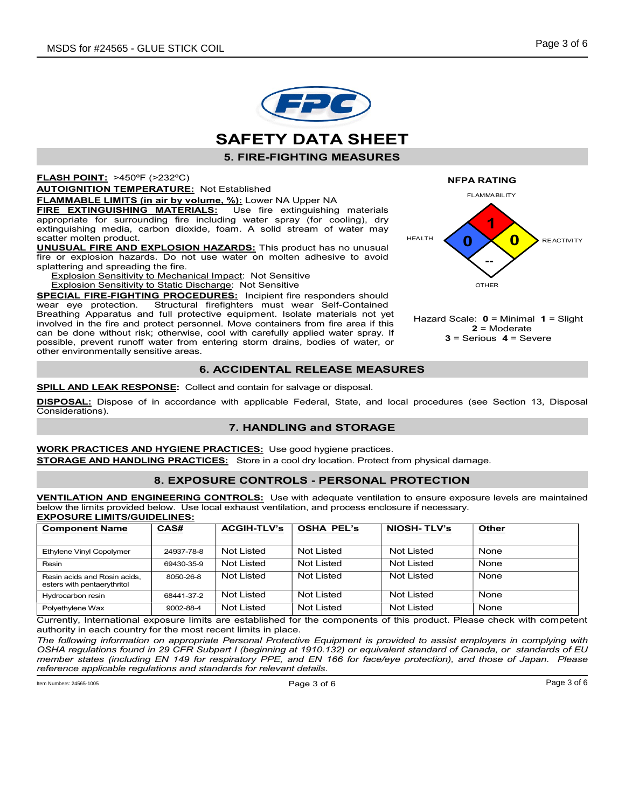



5. FIRE-FIGHTING MEASURES

FLASH POINT: >450ºF (>232ºC)

**AUTOIGNITION TEMPERATURE:** Not Established

FLAMMABLE LIMITS (in air by volume, %): Lower NA Upper NA

**FIRE EXTINGUISHING MATERIALS:** Use fire extinguishing materials appropriate for surrounding fire including water spray (for cooling), dry extinguishing media, carbon dioxide, foam. A solid stream of water may scatter molten product.

UNUSUAL FIRE AND EXPLOSION HAZARDS: This product has no unusual fire or explosion hazards. Do not use water on molten adhesive to avoid splattering and spreading the fire.

Explosion Sensitivity to Mechanical Impact: Not Sensitive

Explosion Sensitivity to Static Discharge: Not Sensitive

SPECIAL FIRE-FIGHTING PROCEDURES: Incipient fire responders should wear eye protection. Structural firefighters must wear Self-Contained Breathing Apparatus and full protective equipment. Isolate materials not yet involved in the fire and protect personnel. Move containers from fire area if this can be done without risk; otherwise, cool with carefully applied water spray. If possible, prevent runoff water from entering storm drains, bodies of water, or other environmentally sensitive areas.

## 6. ACCIDENTAL RELEASE MEASURES

**SPILL AND LEAK RESPONSE:** Collect and contain for salvage or disposal.

DISPOSAL: Dispose of in accordance with applicable Federal, State, and local procedures (see Section 13, Disposal Considerations).

### 7. HANDLING and STORAGE

WORK PRACTICES AND HYGIENE PRACTICES: Use good hygiene practices. **STORAGE AND HANDLING PRACTICES:** Store in a cool dry location. Protect from physical damage.

## 8. EXPOSURE CONTROLS - PERSONAL PROTECTION

VENTILATION AND ENGINEERING CONTROLS: Use with adequate ventilation to ensure exposure levels are maintained below the limits provided below. Use local exhaust ventilation, and process enclosure if necessary. EXPOSURE LIMITS/GUIDELINES:

| <b>Component Name</b>                                       | CAS#       | <b>ACGIH-TLV's</b> | <b>OSHA PEL's</b> | <b>NIOSH-TLV's</b> | <b>Other</b> |
|-------------------------------------------------------------|------------|--------------------|-------------------|--------------------|--------------|
| Ethylene Vinyl Copolymer                                    | 24937-78-8 | Not Listed         | Not Listed        | Not Listed         | None         |
| Resin                                                       | 69430-35-9 | Not Listed         | Not Listed        | Not Listed         | None         |
| Resin acids and Rosin acids.<br>esters with pentaerythritol | 8050-26-8  | Not Listed         | Not Listed        | Not Listed         | None         |
| Hydrocarbon resin                                           | 68441-37-2 | Not Listed         | Not Listed        | Not Listed         | None         |
| Polyethylene Wax                                            | 9002-88-4  | Not Listed         | Not Listed        | Not Listed         | None         |

Currently, International exposure limits are established for the components of this product. Please check with competent authority in each country for the most recent limits in place.

The following information on appropriate Personal Protective Equipment is provided to assist employers in complying with OSHA regulations found in 29 CFR Subpart I (beginning at 1910.132) or equivalent standard of Canada, or standards of EU member states (including EN 149 for respiratory PPE, and EN 166 for face/eye protection), and those of Japan. Please reference applicable regulations and standards for relevant details.

 $P$ age 3 of 6  $P$ age 3 of 6  $P$ age 3 of 6  $P$ age 3 of 6  $P$ age 3 of 6  $P$ age 3 of 6  $P$ age 3 of 6  $P$ 



Hazard Scale:  $0 =$  Minimal  $1 =$  Slight  $2$  = Moderate  $3$  = Serious  $4$  = Severe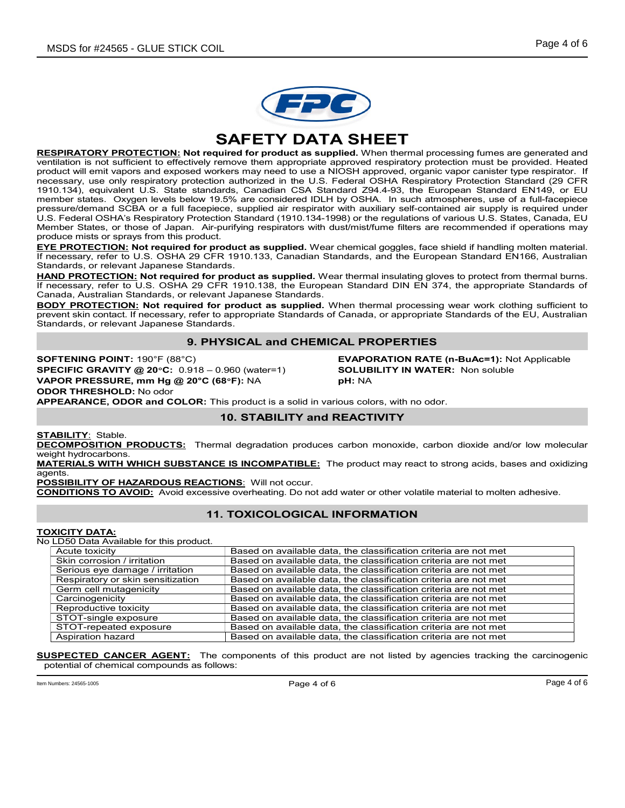

SAFETY DATA SHEET

RESPIRATORY PROTECTION: Not required for product as supplied. When thermal processing fumes are generated and ventilation is not sufficient to effectively remove them appropriate approved respiratory protection must be provided. Heated product will emit vapors and exposed workers may need to use a NIOSH approved, organic vapor canister type respirator. If necessary, use only respiratory protection authorized in the U.S. Federal OSHA Respiratory Protection Standard (29 CFR 1910.134), equivalent U.S. State standards, Canadian CSA Standard Z94.4-93, the European Standard EN149, or EU member states. Oxygen levels below 19.5% are considered IDLH by OSHA. In such atmospheres, use of a full-facepiece pressure/demand SCBA or a full facepiece, supplied air respirator with auxiliary self-contained air supply is required under U.S. Federal OSHA's Respiratory Protection Standard (1910.134-1998) or the regulations of various U.S. States, Canada, EU Member States, or those of Japan. Air-purifying respirators with dust/mist/fume filters are recommended if operations may produce mists or sprays from this product.

EYE PROTECTION: Not required for product as supplied. Wear chemical goggles, face shield if handling molten material. If necessary, refer to U.S. OSHA 29 CFR 1910.133, Canadian Standards, and the European Standard EN166, Australian Standards, or relevant Japanese Standards.

HAND PROTECTION: Not required for product as supplied. Wear thermal insulating gloves to protect from thermal burns. If necessary, refer to U.S. OSHA 29 CFR 1910.138, the European Standard DIN EN 374, the appropriate Standards of Canada, Australian Standards, or relevant Japanese Standards.

**BODY PROTECTION: Not required for product as supplied.** When thermal processing wear work clothing sufficient to prevent skin contact. If necessary, refer to appropriate Standards of Canada, or appropriate Standards of the EU, Australian Standards, or relevant Japanese Standards.

## 9. PHYSICAL and CHEMICAL PROPERTIES

SPECIFIC GRAVITY @ 20°C: 0.918 - 0.960 (water=1) SOLUBILITY IN WATER: Non soluble VAPOR PRESSURE, mm Hg @ 20°C (68°F): NA pH: NA ODOR THRESHOLD: No odor

SOFTENING POINT: 190°F (88°C) **EVAPORATION RATE (n-BuAc=1):** Not Applicable

APPEARANCE, ODOR and COLOR: This product is a solid in various colors, with no odor.

## 10. STABILITY and REACTIVITY

**STABILITY: Stable.** 

DECOMPOSITION PRODUCTS: Thermal degradation produces carbon monoxide, carbon dioxide and/or low molecular weight hydrocarbons.

MATERIALS WITH WHICH SUBSTANCE IS INCOMPATIBLE: The product may react to strong acids, bases and oxidizing agents.

POSSIBILITY OF HAZARDOUS REACTIONS: Will not occur.

CONDITIONS TO AVOID: Avoid excessive overheating. Do not add water or other volatile material to molten adhesive.

## 11. TOXICOLOGICAL INFORMATION

### TOXICITY DATA:

No LD50 Data Available for this product.

| Acute toxicity                    | Based on available data, the classification criteria are not met |
|-----------------------------------|------------------------------------------------------------------|
| Skin corrosion / irritation       | Based on available data, the classification criteria are not met |
| Serious eye damage / irritation   | Based on available data, the classification criteria are not met |
| Respiratory or skin sensitization | Based on available data, the classification criteria are not met |
| Germ cell mutagenicity            | Based on available data, the classification criteria are not met |
| Carcinogenicity                   | Based on available data, the classification criteria are not met |
| Reproductive toxicity             | Based on available data, the classification criteria are not met |
| STOT-single exposure              | Based on available data, the classification criteria are not met |
| STOT-repeated exposure            | Based on available data, the classification criteria are not met |
| Aspiration hazard                 | Based on available data, the classification criteria are not met |

**SUSPECTED CANCER AGENT:** The components of this product are not listed by agencies tracking the carcinogenic potential of chemical compounds as follows:

 $P$ age  $4$  of  $6$   $P$ age  $4$  of  $6$   $P$ age  $4$  of  $6$   $P$ age  $P$  of  $P$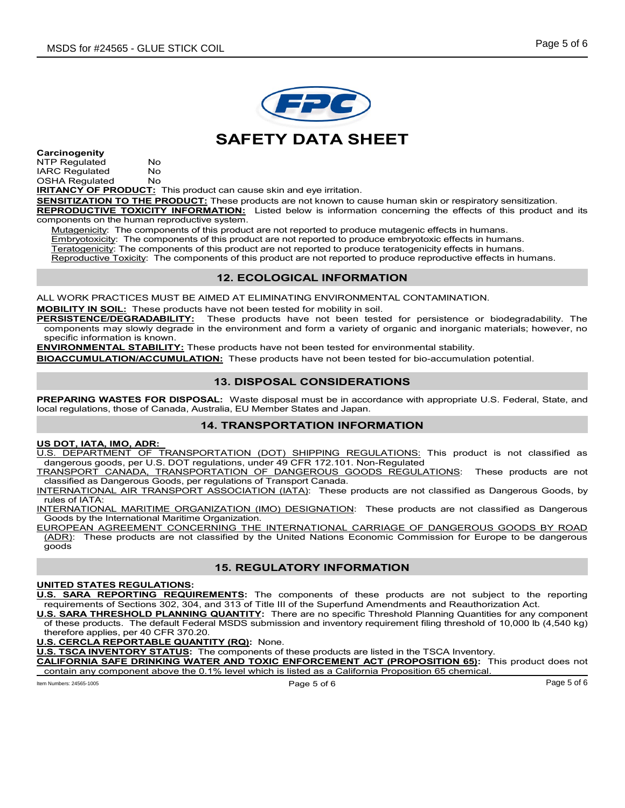

## SAFETY DATA SHEET

Carcinogenity NTP Regulated No IARC Regulated No<br>OSHA Regulated No **OSHA Regulated** 

**IRITANCY OF PRODUCT:** This product can cause skin and eye irritation.

SENSITIZATION TO THE PRODUCT: These products are not known to cause human skin or respiratory sensitization. REPRODUCTIVE TOXICITY INFORMATION: Listed below is information concerning the effects of this product and its components on the human reproductive system.

Mutagenicity: The components of this product are not reported to produce mutagenic effects in humans. Embryotoxicity: The components of this product are not reported to produce embryotoxic effects in humans. Teratogenicity: The components of this product are not reported to produce teratogenicity effects in humans. Reproductive Toxicity: The components of this product are not reported to produce reproductive effects in humans.

## 12. ECOLOGICAL INFORMATION

ALL WORK PRACTICES MUST BE AIMED AT ELIMINATING ENVIRONMENTAL CONTAMINATION.

**MOBILITY IN SOIL:** These products have not been tested for mobility in soil.<br>**PERSISTENCE/DEGRADABILITY:** These products have not been teste These products have not been tested for persistence or biodegradability. The components may slowly degrade in the environment and form a variety of organic and inorganic materials; however, no specific information is known.

**ENVIRONMENTAL STABILITY:** These products have not been tested for environmental stability.

BIOACCUMULATION/ACCUMULATION: These products have not been tested for bio-accumulation potential.

## 13. DISPOSAL CONSIDERATIONS

PREPARING WASTES FOR DISPOSAL: Waste disposal must be in accordance with appropriate U.S. Federal, State, and local regulations, those of Canada, Australia, EU Member States and Japan.

### 14. TRANSPORTATION INFORMATION

### US DOT, IATA, IMO, ADR:

U.S. DEPARTMENT OF TRANSPORTATION (DOT) SHIPPING REGULATIONS: This product is not classified as dangerous goods, per U.S. DOT regulations, under 49 CFR 172.101. Non-Regulated

TRANSPORT CANADA, TRANSPORTATION OF DANGEROUS GOODS REGULATIONS: These products are not classified as Dangerous Goods, per regulations of Transport Canada.

INTERNATIONAL AIR TRANSPORT ASSOCIATION (IATA): These products are not classified as Dangerous Goods, by rules of IATA:

INTERNATIONAL MARITIME ORGANIZATION (IMO) DESIGNATION: These products are not classified as Dangerous Goods by the International Maritime Organization.

EUROPEAN AGREEMENT CONCERNING THE INTERNATIONAL CARRIAGE OF DANGEROUS GOODS BY ROAD (ADR): These products are not classified by the United Nations Economic Commission for Europe to be dangerous goods

## 15. REGULATORY INFORMATION

### UNITED STATES REGULATIONS:

U.S. SARA REPORTING REQUIREMENTS: The components of these products are not subject to the reporting requirements of Sections 302, 304, and 313 of Title III of the Superfund Amendments and Reauthorization Act.

U.S. SARA THRESHOLD PLANNING QUANTITY: There are no specific Threshold Planning Quantities for any component of these products. The default Federal MSDS submission and inventory requirement filing threshold of 10,000 lb (4,540 kg) therefore applies, per 40 CFR 370.20.

### U.S. CERCLA REPORTABLE QUANTITY (RQ): None.

U.S. TSCA INVENTORY STATUS: The components of these products are listed in the TSCA Inventory.

IFORNIA SAFE DRINKING WATER AND TOXIC ENFORCEMENT ACT (PROPOSITION 65): This product does not contain any component above the 0.1% level which is listed as a California Proposition 65 chemical.

Item Numbers: 24565-1005 Page 5 of 6